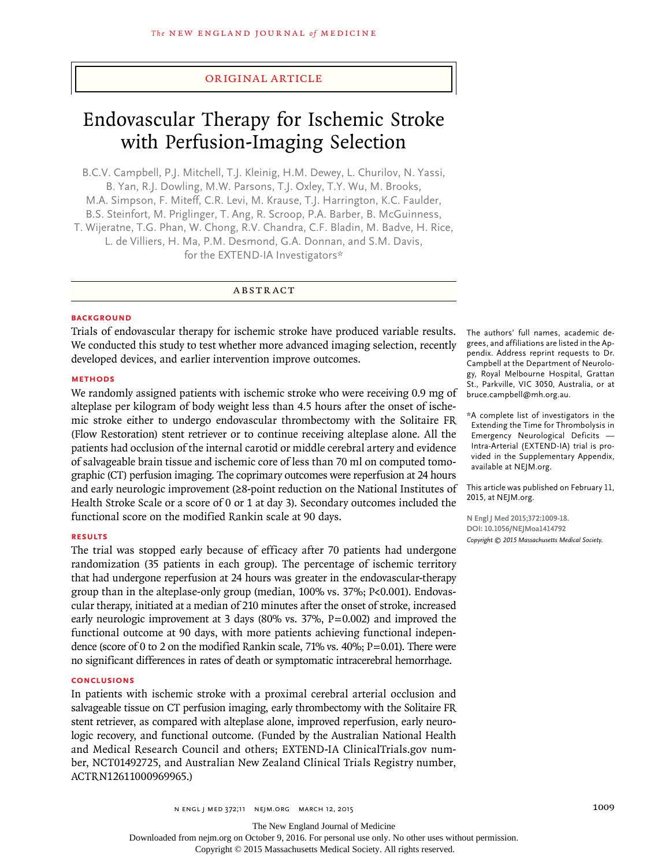# original article

# Endovascular Therapy for Ischemic Stroke with Perfusion-Imaging Selection

B.C.V. Campbell, P.J. Mitchell, T.J. Kleinig, H.M. Dewey, L. Churilov, N. Yassi, B. Yan, R.J. Dowling, M.W. Parsons, T.J. Oxley, T.Y. Wu, M. Brooks, M.A. Simpson, F. Miteff, C.R. Levi, M. Krause, T.J. Harrington, K.C. Faulder, B.S. Steinfort, M. Priglinger, T. Ang, R. Scroop, P.A. Barber, B. McGuinness, T. Wijeratne, T.G. Phan, W. Chong, R.V. Chandra, C.F. Bladin, M. Badve, H. Rice, L. de Villiers, H. Ma, P.M. Desmond, G.A. Donnan, and S.M. Davis, for the EXTEND-IA Investigators\*

ABSTRACT

### **BACKGROUND**

Trials of endovascular therapy for ischemic stroke have produced variable results. We conducted this study to test whether more advanced imaging selection, recently developed devices, and earlier intervention improve outcomes.

## **Methods**

We randomly assigned patients with ischemic stroke who were receiving 0.9 mg of alteplase per kilogram of body weight less than 4.5 hours after the onset of ischemic stroke either to undergo endovascular thrombectomy with the Solitaire FR (Flow Restoration) stent retriever or to continue receiving alteplase alone. All the patients had occlusion of the internal carotid or middle cerebral artery and evidence of salvageable brain tissue and ischemic core of less than 70 ml on computed tomographic (CT) perfusion imaging. The coprimary outcomes were reperfusion at 24 hours and early neurologic improvement (≥8-point reduction on the National Institutes of Health Stroke Scale or a score of 0 or 1 at day 3). Secondary outcomes included the functional score on the modified Rankin scale at 90 days.

## **Results**

The trial was stopped early because of efficacy after 70 patients had undergone randomization (35 patients in each group). The percentage of ischemic territory that had undergone reperfusion at 24 hours was greater in the endovascular-therapy group than in the alteplase-only group (median, 100% vs. 37%; P<0.001). Endovascular therapy, initiated at a median of 210 minutes after the onset of stroke, increased early neurologic improvement at 3 days (80% vs.  $37%$ , P=0.002) and improved the functional outcome at 90 days, with more patients achieving functional independence (score of 0 to 2 on the modified Rankin scale, 71% vs.  $40\%$ ; P=0.01). There were no significant differences in rates of death or symptomatic intracerebral hemorrhage.

## **Conclusions**

In patients with ischemic stroke with a proximal cerebral arterial occlusion and salvageable tissue on CT perfusion imaging, early thrombectomy with the Solitaire FR stent retriever, as compared with alteplase alone, improved reperfusion, early neurologic recovery, and functional outcome. (Funded by the Australian National Health and Medical Research Council and others; EXTEND-IA ClinicalTrials.gov number, NCT01492725, and Australian New Zealand Clinical Trials Registry number, ACTRN12611000969965.)

The authors' full names, academic degrees, and affiliations are listed in the Appendix. Address reprint requests to Dr. Campbell at the Department of Neurology, Royal Melbourne Hospital, Grattan St., Parkville, VIC 3050, Australia, or at bruce.campbell@mh.org.au.

\*A complete list of investigators in the Extending the Time for Thrombolysis in Emergency Neurological Deficits — Intra-Arterial (EXTEND-IA) trial is provided in the Supplementary Appendix, available at NEJM.org.

This article was published on February 11, 2015, at NEJM.org.

**N Engl J Med 2015;372:1009-18. DOI: 10.1056/NEJMoa1414792** *Copyright © 2015 Massachusetts Medical Society.*

The New England Journal of Medicine

Downloaded from nejm.org on October 9, 2016. For personal use only. No other uses without permission.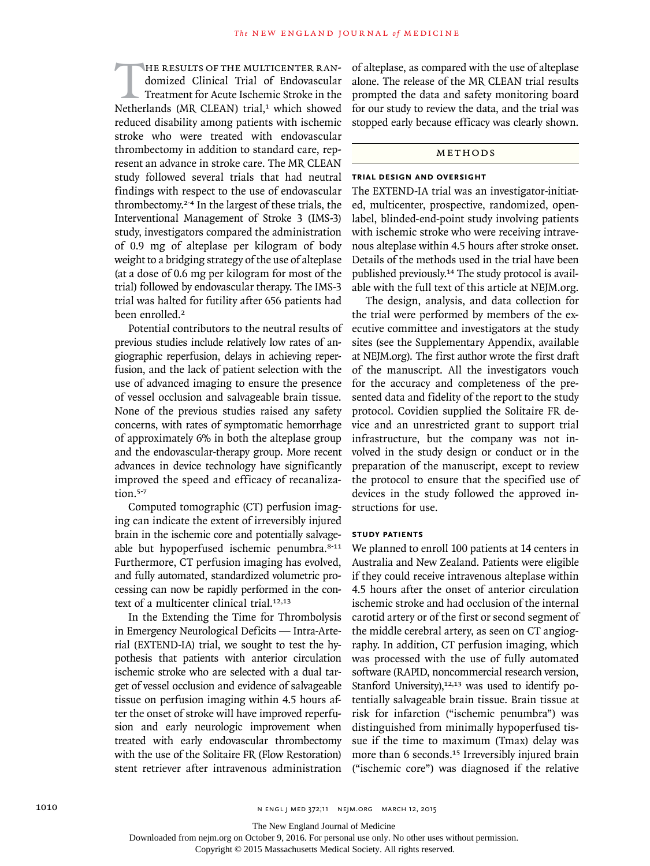THE RESULTS OF THE MULTICENTER RAN-<br>
domized Clinical Trial of Endovascular<br>
Treatment for Acute Ischemic Stroke in the<br>
Netherlands (MR CLEAN) trial,<sup>1</sup> which showed domized Clinical Trial of Endovascular Treatment for Acute Ischemic Stroke in the reduced disability among patients with ischemic stroke who were treated with endovascular thrombectomy in addition to standard care, represent an advance in stroke care. The MR CLEAN study followed several trials that had neutral findings with respect to the use of endovascular thrombectomy.2-4 In the largest of these trials, the Interventional Management of Stroke 3 (IMS-3) study, investigators compared the administration of 0.9 mg of alteplase per kilogram of body weight to a bridging strategy of the use of alteplase (at a dose of 0.6 mg per kilogram for most of the trial) followed by endovascular therapy. The IMS-3 trial was halted for futility after 656 patients had been enrolled.<sup>2</sup>

Potential contributors to the neutral results of previous studies include relatively low rates of angiographic reperfusion, delays in achieving reperfusion, and the lack of patient selection with the use of advanced imaging to ensure the presence of vessel occlusion and salvageable brain tissue. None of the previous studies raised any safety concerns, with rates of symptomatic hemorrhage of approximately 6% in both the alteplase group and the endovascular-therapy group. More recent advances in device technology have significantly improved the speed and efficacy of recanalization.<sup>5-7</sup>

Computed tomographic (CT) perfusion imaging can indicate the extent of irreversibly injured brain in the ischemic core and potentially salvageable but hypoperfused ischemic penumbra.<sup>8-11</sup> Furthermore, CT perfusion imaging has evolved, and fully automated, standardized volumetric processing can now be rapidly performed in the context of a multicenter clinical trial.<sup>12,13</sup>

In the Extending the Time for Thrombolysis in Emergency Neurological Deficits — Intra-Arterial (EXTEND-IA) trial, we sought to test the hypothesis that patients with anterior circulation ischemic stroke who are selected with a dual target of vessel occlusion and evidence of salvageable tissue on perfusion imaging within 4.5 hours after the onset of stroke will have improved reperfusion and early neurologic improvement when treated with early endovascular thrombectomy with the use of the Solitaire FR (Flow Restoration) stent retriever after intravenous administration of alteplase, as compared with the use of alteplase alone. The release of the MR CLEAN trial results prompted the data and safety monitoring board for our study to review the data, and the trial was stopped early because efficacy was clearly shown.

### METHODS

## **Trial Design and Oversight**

The EXTEND-IA trial was an investigator-initiated, multicenter, prospective, randomized, openlabel, blinded-end-point study involving patients with ischemic stroke who were receiving intravenous alteplase within 4.5 hours after stroke onset. Details of the methods used in the trial have been published previously.14 The study protocol is available with the full text of this article at NEJM.org.

The design, analysis, and data collection for the trial were performed by members of the executive committee and investigators at the study sites (see the Supplementary Appendix, available at NEJM.org). The first author wrote the first draft of the manuscript. All the investigators vouch for the accuracy and completeness of the presented data and fidelity of the report to the study protocol. Covidien supplied the Solitaire FR device and an unrestricted grant to support trial infrastructure, but the company was not involved in the study design or conduct or in the preparation of the manuscript, except to review the protocol to ensure that the specified use of devices in the study followed the approved instructions for use.

## **Study Patients**

We planned to enroll 100 patients at 14 centers in Australia and New Zealand. Patients were eligible if they could receive intravenous alteplase within 4.5 hours after the onset of anterior circulation ischemic stroke and had occlusion of the internal carotid artery or of the first or second segment of the middle cerebral artery, as seen on CT angiography. In addition, CT perfusion imaging, which was processed with the use of fully automated software (RAPID, noncommercial research version, Stanford University), $12,13$  was used to identify potentially salvageable brain tissue. Brain tissue at risk for infarction ("ischemic penumbra") was distinguished from minimally hypoperfused tissue if the time to maximum (Tmax) delay was more than 6 seconds.<sup>15</sup> Irreversibly injured brain ("ischemic core") was diagnosed if the relative

The New England Journal of Medicine

Downloaded from nejm.org on October 9, 2016. For personal use only. No other uses without permission.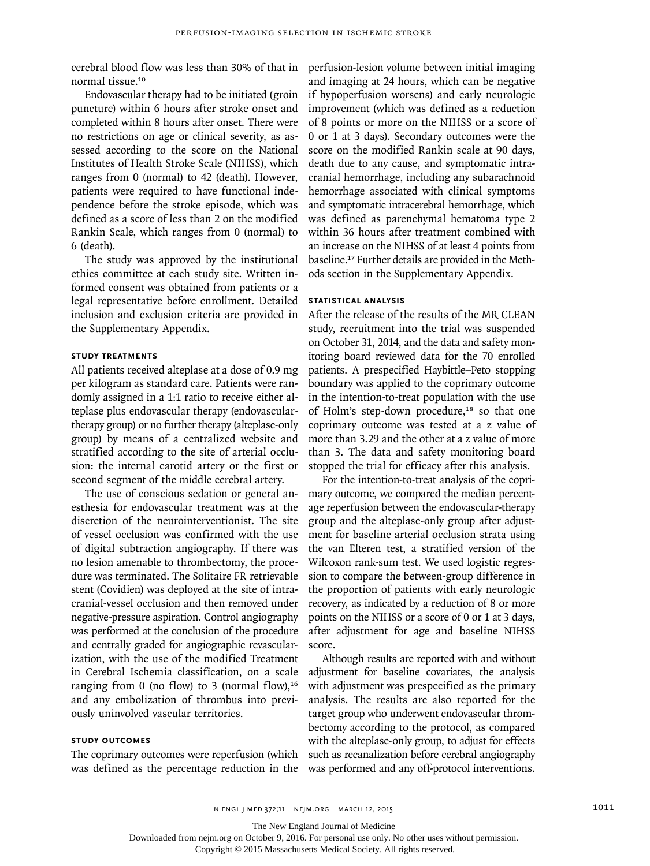cerebral blood flow was less than 30% of that in perfusion-lesion volume between initial imaging normal tissue.<sup>10</sup>

Endovascular therapy had to be initiated (groin puncture) within 6 hours after stroke onset and completed within 8 hours after onset. There were no restrictions on age or clinical severity, as assessed according to the score on the National Institutes of Health Stroke Scale (NIHSS), which ranges from 0 (normal) to 42 (death). However, patients were required to have functional independence before the stroke episode, which was defined as a score of less than 2 on the modified Rankin Scale, which ranges from 0 (normal) to 6 (death).

The study was approved by the institutional ethics committee at each study site. Written informed consent was obtained from patients or a legal representative before enrollment. Detailed inclusion and exclusion criteria are provided in the Supplementary Appendix.

## **Study Treatments**

All patients received alteplase at a dose of 0.9 mg per kilogram as standard care. Patients were randomly assigned in a 1:1 ratio to receive either alteplase plus endovascular therapy (endovasculartherapy group) or no further therapy (alteplase-only group) by means of a centralized website and stratified according to the site of arterial occlusion: the internal carotid artery or the first or second segment of the middle cerebral artery.

The use of conscious sedation or general anesthesia for endovascular treatment was at the discretion of the neurointerventionist. The site of vessel occlusion was confirmed with the use of digital subtraction angiography. If there was no lesion amenable to thrombectomy, the procedure was terminated. The Solitaire FR retrievable stent (Covidien) was deployed at the site of intracranial-vessel occlusion and then removed under negative-pressure aspiration. Control angiography was performed at the conclusion of the procedure and centrally graded for angiographic revascularization, with the use of the modified Treatment in Cerebral Ischemia classification, on a scale ranging from 0 (no flow) to 3 (normal flow), $16$ and any embolization of thrombus into previously uninvolved vascular territories.

# **Study Outcomes**

The coprimary outcomes were reperfusion (which was defined as the percentage reduction in the

and imaging at 24 hours, which can be negative if hypoperfusion worsens) and early neurologic improvement (which was defined as a reduction of 8 points or more on the NIHSS or a score of 0 or 1 at 3 days). Secondary outcomes were the score on the modified Rankin scale at 90 days, death due to any cause, and symptomatic intracranial hemorrhage, including any subarachnoid hemorrhage associated with clinical symptoms and symptomatic intracerebral hemorrhage, which was defined as parenchymal hematoma type 2 within 36 hours after treatment combined with an increase on the NIHSS of at least 4 points from baseline.17 Further details are provided in the Methods section in the Supplementary Appendix.

# **Statistical Analysis**

After the release of the results of the MR CLEAN study, recruitment into the trial was suspended on October 31, 2014, and the data and safety monitoring board reviewed data for the 70 enrolled patients. A prespecified Haybittle–Peto stopping boundary was applied to the coprimary outcome in the intention-to-treat population with the use of Holm's step-down procedure,<sup>18</sup> so that one coprimary outcome was tested at a z value of more than 3.29 and the other at a z value of more than 3. The data and safety monitoring board stopped the trial for efficacy after this analysis.

For the intention-to-treat analysis of the coprimary outcome, we compared the median percentage reperfusion between the endovascular-therapy group and the alteplase-only group after adjustment for baseline arterial occlusion strata using the van Elteren test, a stratified version of the Wilcoxon rank-sum test. We used logistic regression to compare the between-group difference in the proportion of patients with early neurologic recovery, as indicated by a reduction of 8 or more points on the NIHSS or a score of 0 or 1 at 3 days, after adjustment for age and baseline NIHSS score.

Although results are reported with and without adjustment for baseline covariates, the analysis with adjustment was prespecified as the primary analysis. The results are also reported for the target group who underwent endovascular thrombectomy according to the protocol, as compared with the alteplase-only group, to adjust for effects such as recanalization before cerebral angiography was performed and any off-protocol interventions.

The New England Journal of Medicine

Downloaded from nejm.org on October 9, 2016. For personal use only. No other uses without permission.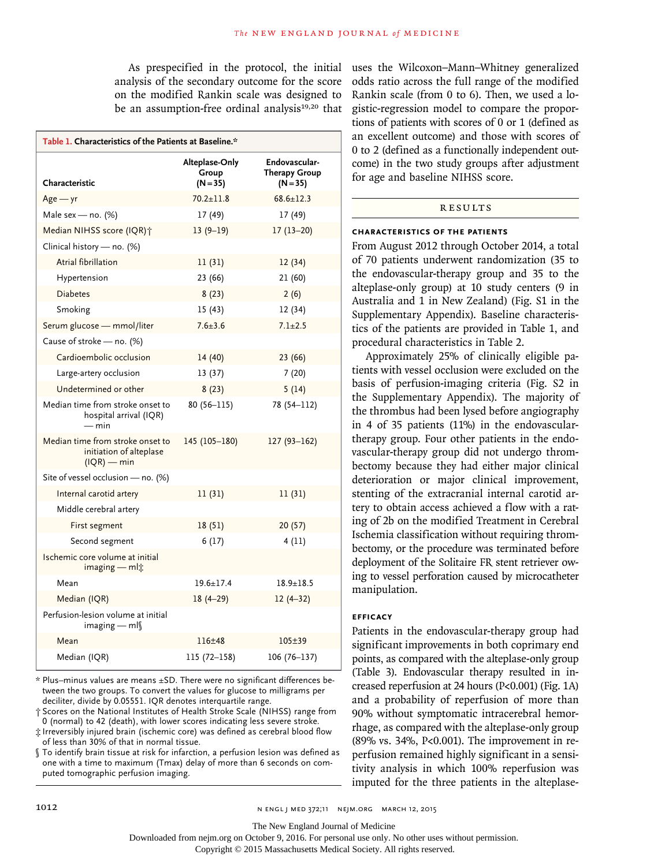As prespecified in the protocol, the initial analysis of the secondary outcome for the score on the modified Rankin scale was designed to be an assumption-free ordinal analysis<sup>19,20</sup> that

| Table 1. Characteristics of the Patients at Baseline.*                       |                                       |                                              |  |  |  |  |
|------------------------------------------------------------------------------|---------------------------------------|----------------------------------------------|--|--|--|--|
| Characteristic                                                               | Alteplase-Only<br>Group<br>$(N = 35)$ | Endovascular-<br>Therapy Group<br>$(N = 35)$ |  |  |  |  |
| $Age - yr$                                                                   | $70.2 \pm 11.8$                       | $68.6 \pm 12.3$                              |  |  |  |  |
| Male sex - no. (%)                                                           | 17 (49)                               | 17 (49)                                      |  |  |  |  |
| Median NIHSS score (IQR)+                                                    | $13(9-19)$                            | $17(13-20)$                                  |  |  |  |  |
| Clinical history - no. (%)                                                   |                                       |                                              |  |  |  |  |
| Atrial fibrillation                                                          | 11(31)                                | 12(34)                                       |  |  |  |  |
| Hypertension                                                                 | 23 (66)                               | 21(60)                                       |  |  |  |  |
| <b>Diabetes</b>                                                              | 8(23)                                 | 2(6)                                         |  |  |  |  |
| Smoking                                                                      | 15 (43)                               | 12 (34)                                      |  |  |  |  |
| Serum glucose - mmol/liter                                                   | $7.6 + 3.6$                           | $7.1 \pm 2.5$                                |  |  |  |  |
| Cause of stroke - no. (%)                                                    |                                       |                                              |  |  |  |  |
| Cardioembolic occlusion                                                      | 14 (40)                               | 23(66)                                       |  |  |  |  |
| Large-artery occlusion                                                       | 13(37)                                | 7(20)                                        |  |  |  |  |
| Undetermined or other                                                        | 8(23)                                 | 5(14)                                        |  |  |  |  |
| Median time from stroke onset to<br>hospital arrival (IQR)<br>$-$ min        | $80(56 - 115)$                        | 78 (54-112)                                  |  |  |  |  |
| Median time from stroke onset to<br>initiation of alteplase<br>$(IQR)$ — min | 145 (105-180)                         | $127(93 - 162)$                              |  |  |  |  |
| Site of vessel occlusion - no. (%)                                           |                                       |                                              |  |  |  |  |
| Internal carotid artery                                                      | 11(31)                                | 11 (31)                                      |  |  |  |  |
| Middle cerebral artery                                                       |                                       |                                              |  |  |  |  |
| First segment                                                                | 18(51)                                | 20(57)                                       |  |  |  |  |
| Second segment                                                               | 6(17)                                 | 4(11)                                        |  |  |  |  |
| Ischemic core volume at initial<br>imaging $-m1$ :                           |                                       |                                              |  |  |  |  |
| Mean                                                                         | $19.6 \pm 17.4$                       | $18.9 \pm 18.5$                              |  |  |  |  |
| Median (IQR)                                                                 | $18(4-29)$                            | $12(4-32)$                                   |  |  |  |  |
| Perfusion-lesion volume at initial<br>imaging $-m\mathbb{I}$                 |                                       |                                              |  |  |  |  |
| Mean                                                                         | 116±48                                | $105 + 39$                                   |  |  |  |  |
| Median (IQR)                                                                 | $115(72 - 158)$                       | 106 (76-137)                                 |  |  |  |  |

\* Plus–minus values are means ±SD. There were no significant differences between the two groups. To convert the values for glucose to milligrams per deciliter, divide by 0.05551. IQR denotes interquartile range.

† Scores on the National Institutes of Health Stroke Scale (NIHSS) range from 0 (normal) to 42 (death), with lower scores indicating less severe stroke.

‡ Irreversibly injured brain (ischemic core) was defined as cerebral blood flow of less than 30% of that in normal tissue.

§ To identify brain tissue at risk for infarction, a perfusion lesion was defined as one with a time to maximum (Tmax) delay of more than 6 seconds on computed tomographic perfusion imaging.

uses the Wilcoxon–Mann–Whitney generalized odds ratio across the full range of the modified Rankin scale (from 0 to 6). Then, we used a logistic-regression model to compare the proportions of patients with scores of 0 or 1 (defined as an excellent outcome) and those with scores of 0 to 2 (defined as a functionally independent outcome) in the two study groups after adjustment for age and baseline NIHSS score.

# **RESULTS**

# **Characteristics of the Patients**

From August 2012 through October 2014, a total of 70 patients underwent randomization (35 to the endovascular-therapy group and 35 to the alteplase-only group) at 10 study centers (9 in Australia and 1 in New Zealand) (Fig. S1 in the Supplementary Appendix). Baseline characteristics of the patients are provided in Table 1, and procedural characteristics in Table 2.

Approximately 25% of clinically eligible patients with vessel occlusion were excluded on the basis of perfusion-imaging criteria (Fig. S2 in the Supplementary Appendix). The majority of the thrombus had been lysed before angiography in 4 of 35 patients (11%) in the endovasculartherapy group. Four other patients in the endovascular-therapy group did not undergo thrombectomy because they had either major clinical deterioration or major clinical improvement, stenting of the extracranial internal carotid artery to obtain access achieved a flow with a rating of 2b on the modified Treatment in Cerebral Ischemia classification without requiring thrombectomy, or the procedure was terminated before deployment of the Solitaire FR stent retriever owing to vessel perforation caused by microcatheter manipulation.

## **Efficacy**

Patients in the endovascular-therapy group had significant improvements in both coprimary end points, as compared with the alteplase-only group (Table 3). Endovascular therapy resulted in increased reperfusion at 24 hours (P<0.001) (Fig. 1A) and a probability of reperfusion of more than 90% without symptomatic intracerebral hemorrhage, as compared with the alteplase-only group (89% vs. 34%, P<0.001). The improvement in reperfusion remained highly significant in a sensitivity analysis in which 100% reperfusion was imputed for the three patients in the alteplase-

The New England Journal of Medicine

Downloaded from nejm.org on October 9, 2016. For personal use only. No other uses without permission.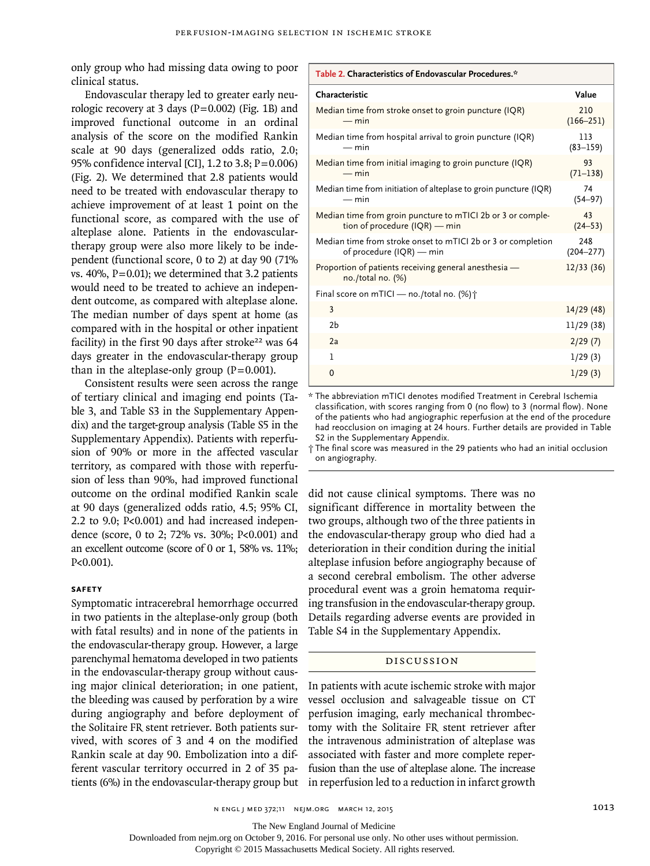only group who had missing data owing to poor clinical status.

Endovascular therapy led to greater early neurologic recovery at 3 days  $(P=0.002)$  (Fig. 1B) and improved functional outcome in an ordinal analysis of the score on the modified Rankin scale at 90 days (generalized odds ratio, 2.0; 95% confidence interval [CI], 1.2 to 3.8; P=0.006) (Fig. 2). We determined that 2.8 patients would need to be treated with endovascular therapy to achieve improvement of at least 1 point on the functional score, as compared with the use of alteplase alone. Patients in the endovasculartherapy group were also more likely to be independent (functional score, 0 to 2) at day 90 (71% vs. 40%,  $P=0.01$ ); we determined that 3.2 patients would need to be treated to achieve an independent outcome, as compared with alteplase alone. The median number of days spent at home (as compared with in the hospital or other inpatient facility) in the first 90 days after stroke<sup>22</sup> was 64 days greater in the endovascular-therapy group than in the alteplase-only group  $(P=0.001)$ .

Consistent results were seen across the range of tertiary clinical and imaging end points (Table 3, and Table S3 in the Supplementary Appendix) and the target-group analysis (Table S5 in the Supplementary Appendix). Patients with reperfusion of 90% or more in the affected vascular territory, as compared with those with reperfusion of less than 90%, had improved functional outcome on the ordinal modified Rankin scale at 90 days (generalized odds ratio, 4.5; 95% CI, 2.2 to 9.0; P<0.001) and had increased independence (score, 0 to 2; 72% vs. 30%; P<0.001) and an excellent outcome (score of 0 or 1, 58% vs. 11%; P<0.001).

#### **Safety**

Symptomatic intracerebral hemorrhage occurred in two patients in the alteplase-only group (both with fatal results) and in none of the patients in the endovascular-therapy group. However, a large parenchymal hematoma developed in two patients in the endovascular-therapy group without causing major clinical deterioration; in one patient, the bleeding was caused by perforation by a wire during angiography and before deployment of the Solitaire FR stent retriever. Both patients survived, with scores of 3 and 4 on the modified Rankin scale at day 90. Embolization into a different vascular territory occurred in 2 of 35 patients (6%) in the endovascular-therapy group but

| Table 2. Characteristics of Endovascular Procedures.* |  |
|-------------------------------------------------------|--|
|-------------------------------------------------------|--|

| Characteristic                                                                               | Value                |
|----------------------------------------------------------------------------------------------|----------------------|
| Median time from stroke onset to groin puncture (IQR)<br>$-$ min                             | 210<br>$(166 - 251)$ |
| Median time from hospital arrival to groin puncture (IQR)<br>$-$ min                         | 113<br>$(83 - 159)$  |
| Median time from initial imaging to groin puncture (IQR)<br>$-$ min                          | 93<br>$(71 - 138)$   |
| Median time from initiation of alteplase to groin puncture (IQR)<br>$-$ min                  | 74<br>$(54 - 97)$    |
| Median time from groin puncture to mTICI 2b or 3 or comple-<br>tion of procedure (IQR) - min | 43<br>$(24 - 53)$    |
| Median time from stroke onset to mTICI 2b or 3 or completion<br>of procedure (IQR) - min     | 248<br>$(204 - 277)$ |
| Proportion of patients receiving general anesthesia -<br>no./total no. (%)                   | 12/33(36)            |
| Final score on mTICI — no./total no. (%) $\dagger$                                           |                      |
| 3                                                                                            | 14/29(48)            |
| 2 <sub>b</sub>                                                                               | 11/29 (38)           |
| 2a                                                                                           | 2/29(7)              |
| ı                                                                                            | 1/29(3)              |
| 0                                                                                            | 1/29(3)              |

\* The abbreviation mTICI denotes modified Treatment in Cerebral Ischemia classification, with scores ranging from 0 (no flow) to 3 (normal flow). None of the patients who had angiographic reperfusion at the end of the procedure had reocclusion on imaging at 24 hours. Further details are provided in Table S2 in the Supplementary Appendix.

† The final score was measured in the 29 patients who had an initial occlusion on angiography.

did not cause clinical symptoms. There was no significant difference in mortality between the two groups, although two of the three patients in the endovascular-therapy group who died had a deterioration in their condition during the initial alteplase infusion before angiography because of a second cerebral embolism. The other adverse procedural event was a groin hematoma requiring transfusion in the endovascular-therapy group. Details regarding adverse events are provided in Table S4 in the Supplementary Appendix.

#### Discussion

In patients with acute ischemic stroke with major vessel occlusion and salvageable tissue on CT perfusion imaging, early mechanical thrombectomy with the Solitaire FR stent retriever after the intravenous administration of alteplase was associated with faster and more complete reperfusion than the use of alteplase alone. The increase in reperfusion led to a reduction in infarct growth

The New England Journal of Medicine

Downloaded from nejm.org on October 9, 2016. For personal use only. No other uses without permission.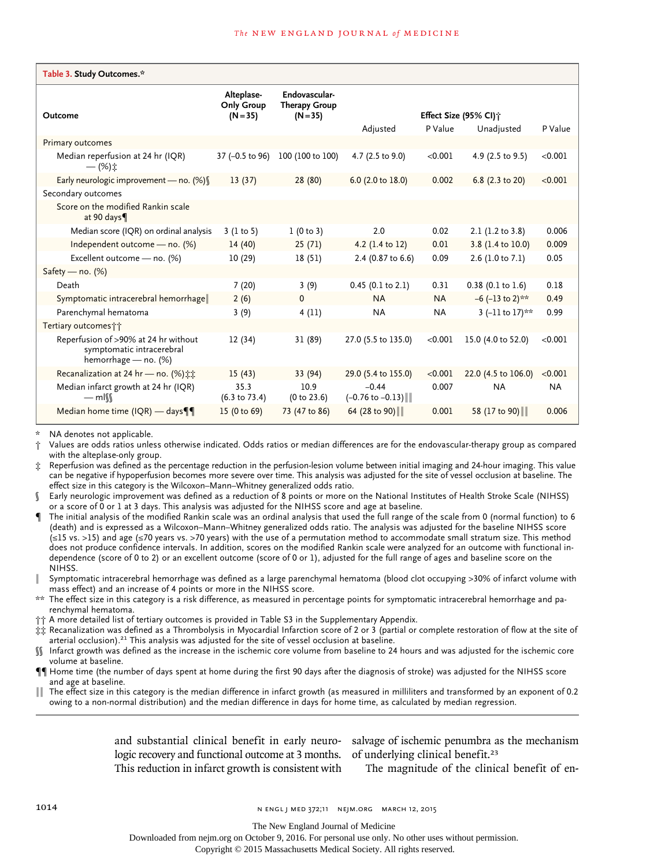| Table 3. Study Outcomes.*                                                                 |                                               |                                                     |                                        |           |                                     |           |
|-------------------------------------------------------------------------------------------|-----------------------------------------------|-----------------------------------------------------|----------------------------------------|-----------|-------------------------------------|-----------|
| Outcome                                                                                   | Alteplase-<br><b>Only Group</b><br>$(N = 35)$ | Endovascular-<br><b>Therapy Group</b><br>$(N = 35)$ | Adjusted                               | P Value   | Effect Size (95% CI);<br>Unadjusted | P Value   |
| Primary outcomes                                                                          |                                               |                                                     |                                        |           |                                     |           |
| Median reperfusion at 24 hr (IQR)<br>$-$ (%) $\pm$                                        | 37 (-0.5 to 96)                               | 100 (100 to 100)                                    | 4.7 (2.5 to 9.0)                       | < 0.001   | 4.9 (2.5 to 9.5)                    | < 0.001   |
| Early neurologic improvement - no. (%)                                                    | 13(37)                                        | 28 (80)                                             | 6.0 (2.0 to 18.0)                      | 0.002     | 6.8 (2.3 to 20)                     | < 0.001   |
| Secondary outcomes                                                                        |                                               |                                                     |                                        |           |                                     |           |
| Score on the modified Rankin scale<br>at 90 days                                          |                                               |                                                     |                                        |           |                                     |           |
| Median score (IQR) on ordinal analysis                                                    | 3(1 to 5)                                     | 1(0 to 3)                                           | 2.0                                    | 0.02      | 2.1 (1.2 to 3.8)                    | 0.006     |
| Independent outcome - no. (%)                                                             | 14(40)                                        | 25(71)                                              | 4.2 (1.4 to 12)                        | 0.01      | 3.8 (1.4 to 10.0)                   | 0.009     |
| Excellent outcome - no. (%)                                                               | 10(29)                                        | 18(51)                                              | 2.4 (0.87 to 6.6)                      | 0.09      | $2.6$ (1.0 to 7.1)                  | 0.05      |
| Safety — $no.$ (%)                                                                        |                                               |                                                     |                                        |           |                                     |           |
| Death                                                                                     | 7(20)                                         | 3(9)                                                | $0.45$ (0.1 to 2.1)                    | 0.31      | $0.38$ (0.1 to 1.6)                 | 0.18      |
| Symptomatic intracerebral hemorrhage                                                      | 2(6)                                          | $\mathbf{0}$                                        | <b>NA</b>                              | <b>NA</b> | $-6$ (-13 to 2)**                   | 0.49      |
| Parenchymal hematoma                                                                      | 3(9)                                          | 4(11)                                               | <b>NA</b>                              | <b>NA</b> | 3 $(-11 \text{ to } 17)$ **         | 0.99      |
| Tertiary outcomes††                                                                       |                                               |                                                     |                                        |           |                                     |           |
| Reperfusion of >90% at 24 hr without<br>symptomatic intracerebral<br>hemorrhage - no. (%) | 12(34)                                        | 31 (89)                                             | 27.0 (5.5 to 135.0)                    | < 0.001   | 15.0 (4.0 to 52.0)                  | < 0.001   |
| Recanalization at 24 hr - no. (%) ##                                                      | 15(43)                                        | 33 (94)                                             | 29.0 (5.4 to 155.0)                    | < 0.001   | 22.0 (4.5 to 106.0)                 | < 0.001   |
| Median infarct growth at 24 hr (IQR)<br>$-m$                                              | 35.3<br>$(6.3 \text{ to } 73.4)$              | 10.9<br>(0 to 23.6)                                 | $-0.44$<br>$(-0.76 \text{ to } -0.13)$ | 0.007     | <b>NA</b>                           | <b>NA</b> |
| Median home time $(IQR)$ — days $\P\P$                                                    | 15 (0 to 69)                                  | 73 (47 to 86)                                       | 64 (28 to 90)                          | 0.001     | 58 (17 to 90)                       | 0.006     |

NA denotes not applicable.

† Values are odds ratios unless otherwise indicated. Odds ratios or median differences are for the endovascular-therapy group as compared with the alteplase-only group.

‡ Reperfusion was defined as the percentage reduction in the perfusion-lesion volume between initial imaging and 24-hour imaging. This value can be negative if hypoperfusion becomes more severe over time. This analysis was adjusted for the site of vessel occlusion at baseline. The effect size in this category is the Wilcoxon–Mann–Whitney generalized odds ratio.

§ Early neurologic improvement was defined as a reduction of 8 points or more on the National Institutes of Health Stroke Scale (NIHSS) or a score of 0 or 1 at 3 days. This analysis was adjusted for the NIHSS score and age at baseline.

The initial analysis of the modified Rankin scale was an ordinal analysis that used the full range of the scale from 0 (normal function) to 6 (death) and is expressed as a Wilcoxon–Mann–Whitney generalized odds ratio. The analysis was adjusted for the baseline NIHSS score (≤15 vs. >15) and age (≤70 years vs. >70 years) with the use of a permutation method to accommodate small stratum size. This method does not produce confidence intervals. In addition, scores on the modified Rankin scale were analyzed for an outcome with functional independence (score of 0 to 2) or an excellent outcome (score of 0 or 1), adjusted for the full range of ages and baseline score on the NIHSS.

Symptomatic intracerebral hemorrhage was defined as a large parenchymal hematoma (blood clot occupying >30% of infarct volume with mass effect) and an increase of 4 points or more in the NIHSS score.

The effect size in this category is a risk difference, as measured in percentage points for symptomatic intracerebral hemorrhage and parenchymal hematoma.

†† A more detailed list of tertiary outcomes is provided in Table S3 in the Supplementary Appendix.

‡‡ Recanalization was defined as a Thrombolysis in Myocardial Infarction score of 2 or 3 (partial or complete restoration of flow at the site of arterial occlusion).<sup>21</sup> This analysis was adjusted for the site of vessel occlusion at baseline.

§§ Infarct growth was defined as the increase in the ischemic core volume from baseline to 24 hours and was adjusted for the ischemic core volume at baseline.

¶¶ Home time (the number of days spent at home during the first 90 days after the diagnosis of stroke) was adjusted for the NIHSS score and age at baseline.

The effect size in this category is the median difference in infarct growth (as measured in milliliters and transformed by an exponent of 0.2 owing to a non-normal distribution) and the median difference in days for home time, as calculated by median regression.

> logic recovery and functional outcome at 3 months. of underlying clinical benefit.<sup>23</sup> This reduction in infarct growth is consistent with

and substantial clinical benefit in early neuro-salvage of ischemic penumbra as the mechanism

The magnitude of the clinical benefit of en-

The New England Journal of Medicine

Downloaded from nejm.org on October 9, 2016. For personal use only. No other uses without permission.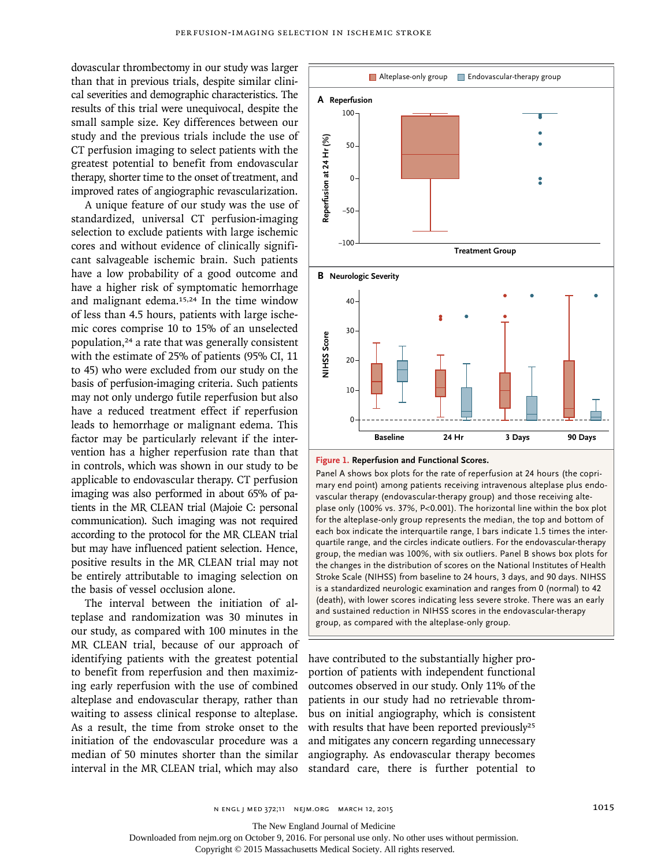dovascular thrombectomy in our study was larger than that in previous trials, despite similar clinical severities and demographic characteristics. The results of this trial were unequivocal, despite the small sample size. Key differences between our study and the previous trials include the use of CT perfusion imaging to select patients with the greatest potential to benefit from endovascular therapy, shorter time to the onset of treatment, and improved rates of angiographic revascularization.

A unique feature of our study was the use of standardized, universal CT perfusion-imaging selection to exclude patients with large ischemic cores and without evidence of clinically significant salvageable ischemic brain. Such patients have a low probability of a good outcome and have a higher risk of symptomatic hemorrhage and malignant edema.<sup>15,24</sup> In the time window of less than 4.5 hours, patients with large ischemic cores comprise 10 to 15% of an unselected population,24 a rate that was generally consistent with the estimate of 25% of patients (95% CI, 11 to 45) who were excluded from our study on the basis of perfusion-imaging criteria. Such patients may not only undergo futile reperfusion but also have a reduced treatment effect if reperfusion leads to hemorrhage or malignant edema. This factor may be particularly relevant if the intervention has a higher reperfusion rate than that in controls, which was shown in our study to be applicable to endovascular therapy. CT perfusion imaging was also performed in about 65% of patients in the MR CLEAN trial (Majoie C: personal communication). Such imaging was not required according to the protocol for the MR CLEAN trial but may have influenced patient selection. Hence, positive results in the MR CLEAN trial may not be entirely attributable to imaging selection on the basis of vessel occlusion alone.

The interval between the initiation of alteplase and randomization was 30 minutes in our study, as compared with 100 minutes in the MR CLEAN trial, because of our approach of identifying patients with the greatest potential to benefit from reperfusion and then maximizing early reperfusion with the use of combined alteplase and endovascular therapy, rather than waiting to assess clinical response to alteplase. As a result, the time from stroke onset to the initiation of the endovascular procedure was a median of 50 minutes shorter than the similar interval in the MR CLEAN trial, which may also





Panel A shows box plots for the rate of reperfusion at 24 hours (the coprimary end point) among patients receiving intravenous alteplase plus endovascular therapy (endovascular-therapy group) and those receiving alteplase only (100% vs. 37%, P<0.001). The horizontal line within the box plot for the alteplase-only group represents the median, the top and bottom of each box indicate the interquartile range, I bars indicate 1.5 times the interquartile range, and the circles indicate outliers. For the endovascular-therapy group, the median was 100%, with six outliers. Panel B shows box plots for the changes in the distribution of scores on the National Institutes of Health Stroke Scale (NIHSS) from baseline to 24 hours, 3 days, and 90 days. NIHSS is a standardized neurologic examination and ranges from 0 (normal) to 42 (death), with lower scores indicating less severe stroke. There was an early and sustained reduction in NIHSS scores in the endovascular-therapy group, as compared with the alteplase-only group.

have contributed to the substantially higher proportion of patients with independent functional outcomes observed in our study. Only 11% of the patients in our study had no retrievable thrombus on initial angiography, which is consistent with results that have been reported previously<sup>25</sup> and mitigates any concern regarding unnecessary angiography. As endovascular therapy becomes standard care, there is further potential to

The New England Journal of Medicine

Downloaded from nejm.org on October 9, 2016. For personal use only. No other uses without permission.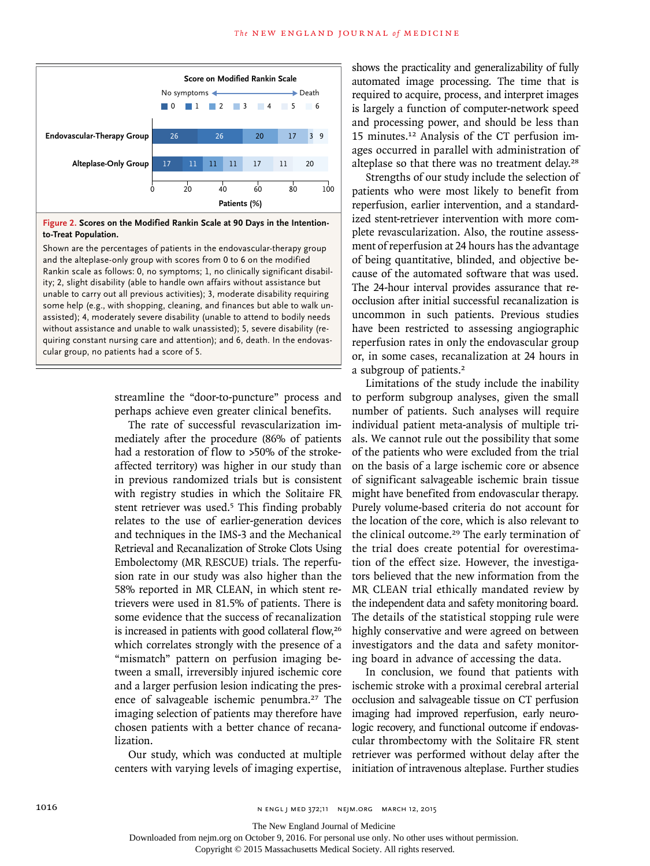

**Figure 2. Scores on the Modified Rankin Scale at 90 Days in the Intentionto-Treat Population.**

Shown are the percentages of patients in the endovascular-therapy group and the alteplase-only group with scores from 0 to 6 on the modified Rankin scale as follows: 0, no symptoms; 1, no clinically significant disability; 2, slight disability (able to handle own affairs without assistance but unable to carry out all previous activities); 3, moderate disability requiring some help (e.g., with shopping, cleaning, and finances but able to walk unassisted); 4, moderately severe disability (unable to attend to bodily needs without assistance and unable to walk unassisted); 5, severe disability (requiring constant nursing care and attention); and 6, death. In the endovascular group, no patients had a score of 5.

> streamline the "door-to-puncture" process and perhaps achieve even greater clinical benefits.

> The rate of successful revascularization immediately after the procedure (86% of patients had a restoration of flow to >50% of the strokeaffected territory) was higher in our study than in previous randomized trials but is consistent with registry studies in which the Solitaire FR stent retriever was used.<sup>5</sup> This finding probably relates to the use of earlier-generation devices and techniques in the IMS-3 and the Mechanical Retrieval and Recanalization of Stroke Clots Using Embolectomy (MR RESCUE) trials. The reperfusion rate in our study was also higher than the 58% reported in MR CLEAN, in which stent retrievers were used in 81.5% of patients. There is some evidence that the success of recanalization is increased in patients with good collateral flow,<sup>26</sup> which correlates strongly with the presence of a "mismatch" pattern on perfusion imaging between a small, irreversibly injured ischemic core and a larger perfusion lesion indicating the presence of salvageable ischemic penumbra.27 The imaging selection of patients may therefore have chosen patients with a better chance of recanalization.

> Our study, which was conducted at multiple centers with varying levels of imaging expertise,

shows the practicality and generalizability of fully automated image processing. The time that is required to acquire, process, and interpret images is largely a function of computer-network speed and processing power, and should be less than 15 minutes.12 Analysis of the CT perfusion images occurred in parallel with administration of alteplase so that there was no treatment delay.<sup>28</sup>

Strengths of our study include the selection of patients who were most likely to benefit from reperfusion, earlier intervention, and a standardized stent-retriever intervention with more complete revascularization. Also, the routine assessment of reperfusion at 24 hours has the advantage of being quantitative, blinded, and objective because of the automated software that was used. The 24-hour interval provides assurance that reocclusion after initial successful recanalization is uncommon in such patients. Previous studies have been restricted to assessing angiographic reperfusion rates in only the endovascular group or, in some cases, recanalization at 24 hours in a subgroup of patients.<sup>2</sup>

Limitations of the study include the inability to perform subgroup analyses, given the small number of patients. Such analyses will require individual patient meta-analysis of multiple trials. We cannot rule out the possibility that some of the patients who were excluded from the trial on the basis of a large ischemic core or absence of significant salvageable ischemic brain tissue might have benefited from endovascular therapy. Purely volume-based criteria do not account for the location of the core, which is also relevant to the clinical outcome.<sup>29</sup> The early termination of the trial does create potential for overestimation of the effect size. However, the investigators believed that the new information from the MR CLEAN trial ethically mandated review by the independent data and safety monitoring board. The details of the statistical stopping rule were highly conservative and were agreed on between investigators and the data and safety monitoring board in advance of accessing the data.

In conclusion, we found that patients with ischemic stroke with a proximal cerebral arterial occlusion and salvageable tissue on CT perfusion imaging had improved reperfusion, early neurologic recovery, and functional outcome if endovascular thrombectomy with the Solitaire FR stent retriever was performed without delay after the initiation of intravenous alteplase. Further studies

The New England Journal of Medicine

Downloaded from nejm.org on October 9, 2016. For personal use only. No other uses without permission.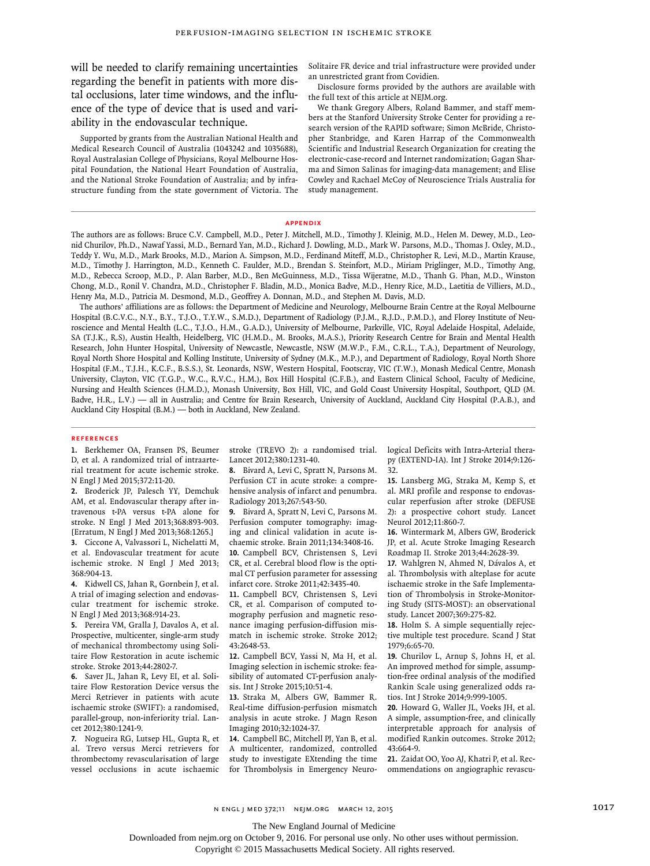will be needed to clarify remaining uncertainties regarding the benefit in patients with more distal occlusions, later time windows, and the influence of the type of device that is used and variability in the endovascular technique.

Supported by grants from the Australian National Health and Medical Research Council of Australia (1043242 and 1035688), Royal Australasian College of Physicians, Royal Melbourne Hospital Foundation, the National Heart Foundation of Australia, and the National Stroke Foundation of Australia; and by infrastructure funding from the state government of Victoria. The Solitaire FR device and trial infrastructure were provided under an unrestricted grant from Covidien.

Disclosure forms provided by the authors are available with the full text of this article at NEJM.org.

We thank Gregory Albers, Roland Bammer, and staff members at the Stanford University Stroke Center for providing a research version of the RAPID software; Simon McBride, Christopher Stanbridge, and Karen Harrap of the Commonwealth Scientific and Industrial Research Organization for creating the electronic-case-record and Internet randomization; Gagan Sharma and Simon Salinas for imaging-data management; and Elise Cowley and Rachael McCoy of Neuroscience Trials Australia for study management.

#### **Appendix**

The authors are as follows: Bruce C.V. Campbell, M.D., Peter J. Mitchell, M.D., Timothy J. Kleinig, M.D., Helen M. Dewey, M.D., Leonid Churilov, Ph.D., Nawaf Yassi, M.D., Bernard Yan, M.D., Richard J. Dowling, M.D., Mark W. Parsons, M.D., Thomas J. Oxley, M.D., Teddy Y. Wu, M.D., Mark Brooks, M.D., Marion A. Simpson, M.D., Ferdinand Miteff, M.D., Christopher R. Levi, M.D., Martin Krause, M.D., Timothy J. Harrington, M.D., Kenneth C. Faulder, M.D., Brendan S. Steinfort, M.D., Miriam Priglinger, M.D., Timothy Ang, M.D., Rebecca Scroop, M.D., P. Alan Barber, M.D., Ben McGuinness, M.D., Tissa Wijeratne, M.D., Thanh G. Phan, M.D., Winston Chong, M.D., Ronil V. Chandra, M.D., Christopher F. Bladin, M.D., Monica Badve, M.D., Henry Rice, M.D., Laetitia de Villiers, M.D., Henry Ma, M.D., Patricia M. Desmond, M.D., Geoffrey A. Donnan, M.D., and Stephen M. Davis, M.D.

The authors' affiliations are as follows: the Department of Medicine and Neurology, Melbourne Brain Centre at the Royal Melbourne Hospital (B.C.V.C., N.Y., B.Y., T.J.O., T.Y.W., S.M.D.), Department of Radiology (P.J.M., R.J.D., P.M.D.), and Florey Institute of Neuroscience and Mental Health (L.C., T.J.O., H.M., G.A.D.), University of Melbourne, Parkville, VIC, Royal Adelaide Hospital, Adelaide, SA (T.J.K., R.S), Austin Health, Heidelberg, VIC (H.M.D., M. Brooks, M.A.S.), Priority Research Centre for Brain and Mental Health Research, John Hunter Hospital, University of Newcastle, Newcastle, NSW (M.W.P., F.M., C.R.L., T.A.), Department of Neurology, Royal North Shore Hospital and Kolling Institute, University of Sydney (M.K., M.P.), and Department of Radiology, Royal North Shore Hospital (F.M., T.J.H., K.C.F., B.S.S.), St. Leonards, NSW, Western Hospital, Footscray, VIC (T.W.), Monash Medical Centre, Monash University, Clayton, VIC (T.G.P., W.C., R.V.C., H.M.), Box Hill Hospital (C.F.B.), and Eastern Clinical School, Faculty of Medicine, Nursing and Health Sciences (H.M.D.), Monash University, Box Hill, VIC, and Gold Coast University Hospital, Southport, QLD (M. Badve, H.R., L.V.) — all in Australia; and Centre for Brain Research, University of Auckland, Auckland City Hospital (P.A.B.), and Auckland City Hospital (B.M.) — both in Auckland, New Zealand.

#### **References**

**1.** Berkhemer OA, Fransen PS, Beumer D, et al. A randomized trial of intraarterial treatment for acute ischemic stroke. N Engl J Med 2015;372:11-20.

**2.** Broderick JP, Palesch YY, Demchuk AM, et al. Endovascular therapy after intravenous t-PA versus t-PA alone for stroke. N Engl J Med 2013;368:893-903. [Erratum, N Engl J Med 2013;368:1265.] **3.** Ciccone A, Valvassori L, Nichelatti M, et al. Endovascular treatment for acute ischemic stroke. N Engl J Med 2013; 368:904-13.

**4.** Kidwell CS, Jahan R, Gornbein J, et al. A trial of imaging selection and endovascular treatment for ischemic stroke. N Engl J Med 2013;368:914-23.

**5.** Pereira VM, Gralla J, Davalos A, et al. Prospective, multicenter, single-arm study of mechanical thrombectomy using Solitaire Flow Restoration in acute ischemic stroke. Stroke 2013;44:2802-7.

**6.** Saver JL, Jahan R, Levy EI, et al. Solitaire Flow Restoration Device versus the Merci Retriever in patients with acute ischaemic stroke (SWIFT): a randomised, parallel-group, non-inferiority trial. Lancet 2012;380:1241-9.

**7.** Nogueira RG, Lutsep HL, Gupta R, et al. Trevo versus Merci retrievers for thrombectomy revascularisation of large vessel occlusions in acute ischaemic

stroke (TREVO 2): a randomised trial. Lancet 2012;380:1231-40.

**8.** Bivard A, Levi C, Spratt N, Parsons M. Perfusion CT in acute stroke: a comprehensive analysis of infarct and penumbra. Radiology 2013;267:543-50.

**9.** Bivard A, Spratt N, Levi C, Parsons M. Perfusion computer tomography: imaging and clinical validation in acute ischaemic stroke. Brain 2011;134:3408-16. **10.** Campbell BCV, Christensen S, Levi CR, et al. Cerebral blood flow is the optimal CT perfusion parameter for assessing infarct core. Stroke 2011;42:3435-40.

**11.** Campbell BCV, Christensen S, Levi CR, et al. Comparison of computed tomography perfusion and magnetic resonance imaging perfusion-diffusion mismatch in ischemic stroke. Stroke 2012; 43:2648-53.

**12.** Campbell BCV, Yassi N, Ma H, et al. Imaging selection in ischemic stroke: feasibility of automated CT-perfusion analysis. Int J Stroke 2015;10:51-4.

**13.** Straka M, Albers GW, Bammer R. Real-time diffusion-perfusion mismatch analysis in acute stroke. J Magn Reson Imaging 2010;32:1024-37.

**14.** Campbell BC, Mitchell PJ, Yan B, et al. A multicenter, randomized, controlled study to investigate EXtending the time for Thrombolysis in Emergency Neurological Deficits with Intra-Arterial therapy (EXTEND-IA). Int J Stroke 2014;9:126- 32.

**15.** Lansberg MG, Straka M, Kemp S, et al. MRI profile and response to endovascular reperfusion after stroke (DEFUSE 2): a prospective cohort study. Lancet Neurol 2012;11:860-7.

**16.** Wintermark M, Albers GW, Broderick JP, et al. Acute Stroke Imaging Research Roadmap II. Stroke 2013;44:2628-39.

**17.** Wahlgren N, Ahmed N, Dávalos A, et al. Thrombolysis with alteplase for acute ischaemic stroke in the Safe Implementation of Thrombolysis in Stroke-Monitoring Study (SITS-MOST): an observational study. Lancet 2007;369:275-82.

**18.** Holm S. A simple sequentially rejective multiple test procedure. Scand J Stat 1979;6:65-70.

**19.** Churilov L, Arnup S, Johns H, et al. An improved method for simple, assumption-free ordinal analysis of the modified Rankin Scale using generalized odds ratios. Int J Stroke 2014;9:999-1005.

**20.** Howard G, Waller JL, Voeks JH, et al. A simple, assumption-free, and clinically interpretable approach for analysis of modified Rankin outcomes. Stroke 2012; 43:664-9.

**21.** Zaidat OO, Yoo AJ, Khatri P, et al. Recommendations on angiographic revascu-

The New England Journal of Medicine

Downloaded from nejm.org on October 9, 2016. For personal use only. No other uses without permission.